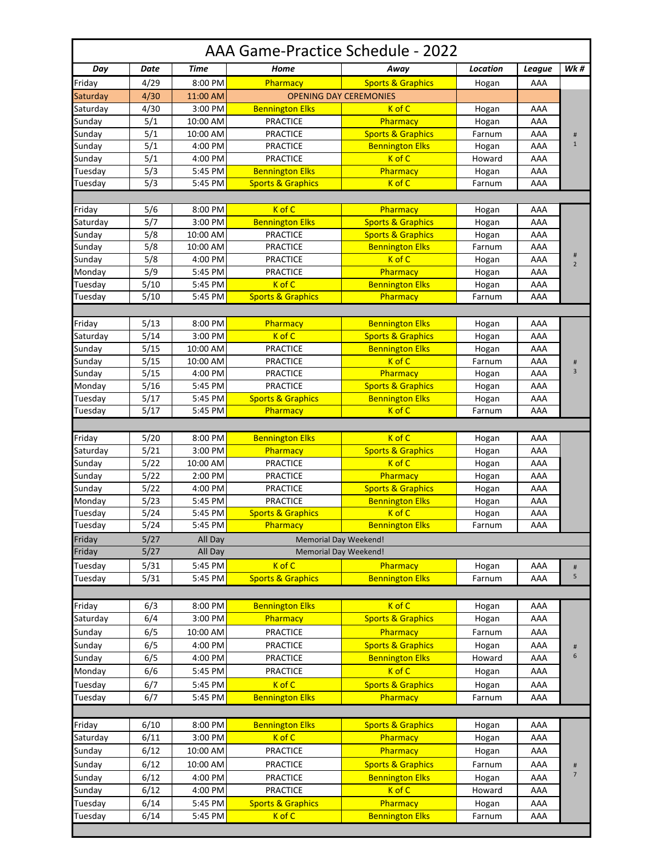| AAA Game-Practice Schedule - 2022 |                  |          |                              |                               |          |        |                     |  |  |  |  |
|-----------------------------------|------------------|----------|------------------------------|-------------------------------|----------|--------|---------------------|--|--|--|--|
| Day                               | Date             | Time     | Home                         | Away                          | Location | League | <b>Wk</b> #         |  |  |  |  |
| Friday                            | 4/29             | 8:00 PM  | Pharmacy                     | <b>Sports &amp; Graphics</b>  | Hogan    | AAA    |                     |  |  |  |  |
| Saturday                          | 4/30             | 11:00 AM |                              | <b>OPENING DAY CEREMONIES</b> |          |        |                     |  |  |  |  |
| Saturday                          | 4/30             | 3:00 PM  | <b>Bennington Elks</b>       | K of C                        | Hogan    | AAA    |                     |  |  |  |  |
| Sunday                            | 5/1              | 10:00 AM | <b>PRACTICE</b>              | Pharmacy                      | Hogan    | AAA    |                     |  |  |  |  |
| Sunday                            | 5/1              | 10:00 AM | <b>PRACTICE</b>              | <b>Sports &amp; Graphics</b>  | Farnum   | AAA    | #                   |  |  |  |  |
| Sunday                            | $\overline{5/1}$ | 4:00 PM  | <b>PRACTICE</b>              | <b>Bennington Elks</b>        | Hogan    | AAA    | $\mathbf{1}$        |  |  |  |  |
| Sunday                            | 5/1              | 4:00 PM  | <b>PRACTICE</b>              | K of C                        | Howard   | AAA    |                     |  |  |  |  |
| Tuesday                           | 5/3              | 5:45 PM  | <b>Bennington Elks</b>       | Pharmacy                      | Hogan    | AAA    |                     |  |  |  |  |
| Tuesday                           | 5/3              | 5:45 PM  | <b>Sports &amp; Graphics</b> | K of C                        | Farnum   | AAA    |                     |  |  |  |  |
| Friday                            | 5/6              | 8:00 PM  | K of C                       | Pharmacy                      | Hogan    | AAA    |                     |  |  |  |  |
| Saturday                          | 5/7              | 3:00 PM  | <b>Bennington Elks</b>       | <b>Sports &amp; Graphics</b>  | Hogan    | AAA    |                     |  |  |  |  |
| Sunday                            | 5/8              | 10:00 AM | <b>PRACTICE</b>              | <b>Sports &amp; Graphics</b>  | Hogan    | AAA    |                     |  |  |  |  |
| Sunday                            | 5/8              | 10:00 AM | <b>PRACTICE</b>              | <b>Bennington Elks</b>        | Farnum   | AAA    | #<br>$\overline{2}$ |  |  |  |  |
| Sunday                            | 5/8              | 4:00 PM  | <b>PRACTICE</b>              | K of C                        | Hogan    | AAA    |                     |  |  |  |  |
| Monday                            | 5/9              | 5:45 PM  | <b>PRACTICE</b>              | Pharmacy                      | Hogan    | AAA    |                     |  |  |  |  |
| Tuesday                           | 5/10             | 5:45 PM  | K of C                       | <b>Bennington Elks</b>        | Hogan    | AAA    |                     |  |  |  |  |
| Tuesday                           | 5/10             | 5:45 PM  | <b>Sports &amp; Graphics</b> | Pharmacy                      | Farnum   | AAA    |                     |  |  |  |  |
|                                   |                  |          |                              |                               |          |        |                     |  |  |  |  |
|                                   |                  |          |                              |                               |          |        |                     |  |  |  |  |
| Friday                            | 5/13             | 8:00 PM  | Pharmacy                     | <b>Bennington Elks</b>        | Hogan    | AAA    |                     |  |  |  |  |
| Saturday                          | 5/14             | 3:00 PM  | K of C                       | <b>Sports &amp; Graphics</b>  | Hogan    | AAA    |                     |  |  |  |  |
| Sunday                            | 5/15             | 10:00 AM | <b>PRACTICE</b>              | <b>Bennington Elks</b>        | Hogan    | AAA    |                     |  |  |  |  |
| Sunday                            | 5/15             | 10:00 AM | <b>PRACTICE</b>              | K of C                        | Farnum   | AAA    | $\sharp\sharp$<br>3 |  |  |  |  |
| Sunday                            | 5/15             | 4:00 PM  | <b>PRACTICE</b>              | Pharmacy                      | Hogan    | AAA    |                     |  |  |  |  |
| Monday                            | 5/16             | 5:45 PM  | <b>PRACTICE</b>              | <b>Sports &amp; Graphics</b>  | Hogan    | AAA    |                     |  |  |  |  |
| Tuesday                           | 5/17             | 5:45 PM  | <b>Sports &amp; Graphics</b> | <b>Bennington Elks</b>        | Hogan    | AAA    |                     |  |  |  |  |
| Tuesday                           | 5/17             | 5:45 PM  | Pharmacy                     | $K$ of $C$                    | Farnum   | AAA    |                     |  |  |  |  |
|                                   |                  |          |                              |                               |          |        |                     |  |  |  |  |
| Friday                            | 5/20             | 8:00 PM  | <b>Bennington Elks</b>       | K of C                        | Hogan    | AAA    |                     |  |  |  |  |
| Saturday                          | 5/21             | 3:00 PM  | Pharmacy                     | <b>Sports &amp; Graphics</b>  | Hogan    | AAA    |                     |  |  |  |  |
| Sunday                            | 5/22             | 10:00 AM | <b>PRACTICE</b>              | K of C                        | Hogan    | AAA    |                     |  |  |  |  |
| Sunday                            | 5/22             | 2:00 PM  | <b>PRACTICE</b>              | Pharmacy                      | Hogan    | AAA    |                     |  |  |  |  |
| Sunday                            | 5/22             | 4:00 PM  | <b>PRACTICE</b>              | <b>Sports &amp; Graphics</b>  | Hogan    | AAA    |                     |  |  |  |  |
| Monday                            | 5/23             | 5:45 PM  | <b>PRACTICE</b>              | <b>Bennington Elks</b>        | Hogan    | AAA    |                     |  |  |  |  |
| Tuesday                           | 5/24             | 5:45 PM  | <b>Sports &amp; Graphics</b> | K of C                        | Hogan    | AAA    |                     |  |  |  |  |
| Tuesday                           | 5/24             | 5:45 PM  | <b>Pharmacy</b>              | <b>Bennington Elks</b>        | Farnum   | AAA    |                     |  |  |  |  |
| Friday                            | 5/27             | All Day  | Memorial Day Weekend!        |                               |          |        |                     |  |  |  |  |
| Friday                            | 5/27             | All Day  | <b>Memorial Day Weekend!</b> |                               |          |        |                     |  |  |  |  |
| Tuesday                           | 5/31             | 5:45 PM  | K of C                       | Pharmacy                      | Hogan    | AAA    | $\#$                |  |  |  |  |
| Tuesday                           | 5/31             | 5:45 PM  | <b>Sports &amp; Graphics</b> | <b>Bennington Elks</b>        | Farnum   | AAA    | 5                   |  |  |  |  |
|                                   |                  |          |                              |                               |          |        |                     |  |  |  |  |
| Friday                            | 6/3              | 8:00 PM  | <b>Bennington Elks</b>       | K of C                        | Hogan    | AAA    |                     |  |  |  |  |
| Saturday                          | 6/4              | 3:00 PM  | Pharmacy                     | <b>Sports &amp; Graphics</b>  | Hogan    | AAA    |                     |  |  |  |  |
| Sunday                            | 6/5              | 10:00 AM | <b>PRACTICE</b>              | Pharmacy                      | Farnum   | AAA    |                     |  |  |  |  |
| Sunday                            | 6/5              | 4:00 PM  | <b>PRACTICE</b>              | <b>Sports &amp; Graphics</b>  | Hogan    | AAA    | #                   |  |  |  |  |
| Sunday                            | 6/5              | 4:00 PM  | <b>PRACTICE</b>              | <b>Bennington Elks</b>        | Howard   | AAA    | 6                   |  |  |  |  |
| Monday                            | 6/6              | 5:45 PM  | <b>PRACTICE</b>              | K of C                        | Hogan    | AAA    |                     |  |  |  |  |
| Tuesday                           | 6/7              | 5:45 PM  | K of C                       | <b>Sports &amp; Graphics</b>  | Hogan    | AAA    |                     |  |  |  |  |
| Tuesday                           | 6/7              | 5:45 PM  | <b>Bennington Elks</b>       | Pharmacy                      | Farnum   | AAA    |                     |  |  |  |  |
|                                   |                  |          |                              |                               |          |        |                     |  |  |  |  |
| Friday                            | 6/10             | 8:00 PM  | <b>Bennington Elks</b>       | <b>Sports &amp; Graphics</b>  | Hogan    | AAA    |                     |  |  |  |  |
| Saturday                          | 6/11             | 3:00 PM  | K of C                       | Pharmacy                      | Hogan    | AAA    |                     |  |  |  |  |
| Sunday                            | 6/12             | 10:00 AM | <b>PRACTICE</b>              | Pharmacy                      |          | AAA    |                     |  |  |  |  |
|                                   |                  |          |                              |                               | Hogan    |        |                     |  |  |  |  |
| Sunday                            | 6/12             | 10:00 AM | <b>PRACTICE</b>              | <b>Sports &amp; Graphics</b>  | Farnum   | AAA    | #<br>$\overline{7}$ |  |  |  |  |
| Sunday                            | 6/12             | 4:00 PM  | <b>PRACTICE</b>              | <b>Bennington Elks</b>        | Hogan    | AAA    |                     |  |  |  |  |
| Sunday                            | 6/12             | 4:00 PM  | <b>PRACTICE</b>              | K of C                        | Howard   | AAA    |                     |  |  |  |  |
| Tuesday                           | 6/14             | 5:45 PM  | <b>Sports &amp; Graphics</b> | Pharmacy                      | Hogan    | AAA    |                     |  |  |  |  |
| Tuesday                           | 6/14             | 5:45 PM  | K of C                       | <b>Bennington Elks</b>        | Farnum   | AAA    |                     |  |  |  |  |